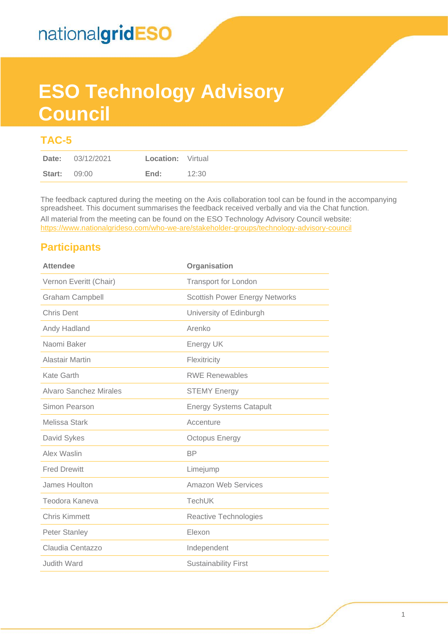# **ESO Technology Advisory Council**

### **TAC-5**

The feedback captured during the meeting on the Axis collaboration tool can be found in the accompanying spreadsheet. This document summarises the feedback received verbally and via the Chat function.

All material from the meeting can be found on the ESO Technology Advisory Council website: <https://www.nationalgrideso.com/who-we-are/stakeholder-groups/technology-advisory-council>

### **Participants**

| <b>Attendee</b>        | Organisation                          |
|------------------------|---------------------------------------|
| Vernon Everitt (Chair) | <b>Transport for London</b>           |
| <b>Graham Campbell</b> | <b>Scottish Power Energy Networks</b> |
| <b>Chris Dent</b>      | University of Edinburgh               |
| Andy Hadland           | Arenko                                |
| Naomi Baker            | Energy UK                             |
| <b>Alastair Martin</b> | Flexitricity                          |
| Kate Garth             | <b>RWE Renewables</b>                 |
| Alvaro Sanchez Mirales | <b>STEMY Energy</b>                   |
| Simon Pearson          | <b>Energy Systems Catapult</b>        |
| Melissa Stark          | Accenture                             |
| David Sykes            | <b>Octopus Energy</b>                 |
| Alex Waslin            | <b>BP</b>                             |
| <b>Fred Drewitt</b>    | Limejump                              |
| James Houlton          | <b>Amazon Web Services</b>            |
| Teodora Kaneva         | <b>TechUK</b>                         |
| <b>Chris Kimmett</b>   | Reactive Technologies                 |
| <b>Peter Stanley</b>   | Elexon                                |
| Claudia Centazzo       | Independent                           |
| <b>Judith Ward</b>     | <b>Sustainability First</b>           |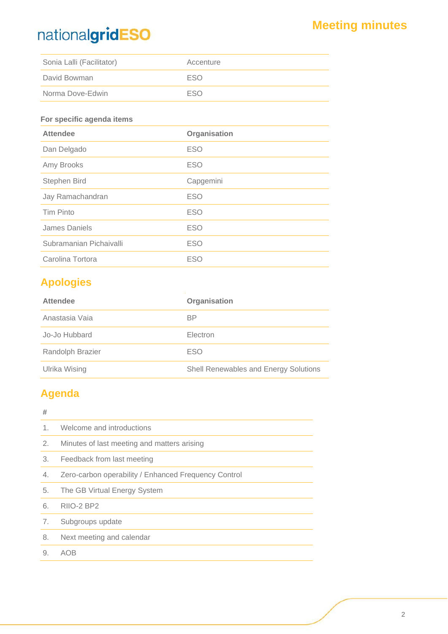| Sonia Lalli (Facilitator) | Accenture  |
|---------------------------|------------|
| David Bowman              | <b>FSO</b> |
| Norma Dove-Edwin          | ESO        |

#### **For specific agenda items**

| <b>Attendee</b>         | Organisation |
|-------------------------|--------------|
| Dan Delgado             | <b>ESO</b>   |
| Amy Brooks              | <b>ESO</b>   |
| Stephen Bird            | Capgemini    |
| Jay Ramachandran        | <b>ESO</b>   |
| <b>Tim Pinto</b>        | <b>ESO</b>   |
| James Daniels           | <b>ESO</b>   |
| Subramanian Pichaivalli | <b>ESO</b>   |
| Carolina Tortora        | <b>ESO</b>   |
|                         |              |

### **Apologies**

| <b>Attendee</b>  | Organisation                          |
|------------------|---------------------------------------|
| Anastasia Vaia   | <b>BP</b>                             |
| Jo-Jo Hubbard    | Electron                              |
| Randolph Brazier | <b>ESO</b>                            |
| Ulrika Wising    | Shell Renewables and Energy Solutions |

### **Agenda**

| #              |                                                      |
|----------------|------------------------------------------------------|
|                |                                                      |
| 1 <sub>1</sub> | Welcome and introductions                            |
| 2.             | Minutes of last meeting and matters arising          |
| 3.             | Feedback from last meeting                           |
| 4.             | Zero-carbon operability / Enhanced Frequency Control |
| 5.             | The GB Virtual Energy System                         |
| 6.             | RIIO-2 BP2                                           |
| 7.             | Subgroups update                                     |
| 8.             | Next meeting and calendar                            |
| 9.             | AOB                                                  |
|                |                                                      |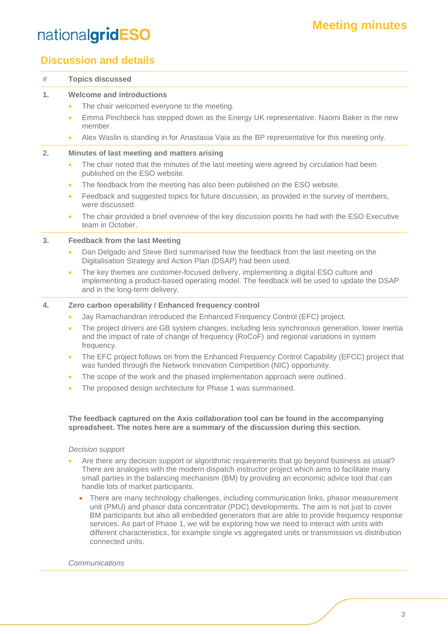### **Meeting minutes**

## nationalgridESO

### **Discussion and details**

| #              | <b>Topics discussed</b>                                                                                                                                                                                                                                                                                                             |  |
|----------------|-------------------------------------------------------------------------------------------------------------------------------------------------------------------------------------------------------------------------------------------------------------------------------------------------------------------------------------|--|
| 1.             | <b>Welcome and introductions</b>                                                                                                                                                                                                                                                                                                    |  |
|                | The chair welcomed everyone to the meeting.<br>$\bullet$                                                                                                                                                                                                                                                                            |  |
|                | Emma Pinchbeck has stepped down as the Energy UK representative. Naomi Baker is the new<br>$\bullet$<br>member.                                                                                                                                                                                                                     |  |
|                | Alex Waslin is standing in for Anastasia Vaia as the BP representative for this meeting only.<br>$\bullet$                                                                                                                                                                                                                          |  |
| 2.             | Minutes of last meeting and matters arising                                                                                                                                                                                                                                                                                         |  |
|                | The chair noted that the minutes of the last meeting were agreed by circulation had been<br>$\bullet$<br>published on the ESO website.                                                                                                                                                                                              |  |
|                | The feedback from the meeting has also been published on the ESO website.<br>$\bullet$                                                                                                                                                                                                                                              |  |
|                | Feedback and suggested topics for future discussion, as provided in the survey of members,<br>$\bullet$<br>were discussed.                                                                                                                                                                                                          |  |
|                | The chair provided a brief overview of the key discussion points he had with the ESO Executive<br>$\bullet$<br>team in October.                                                                                                                                                                                                     |  |
| 3 <sub>1</sub> | <b>Feedback from the last Meeting</b>                                                                                                                                                                                                                                                                                               |  |
|                | Dan Delgado and Steve Bird summarised how the feedback from the last meeting on the<br>$\bullet$<br>Digitalisation Strategy and Action Plan (DSAP) had been used.                                                                                                                                                                   |  |
|                | The key themes are customer-focused delivery, implementing a digital ESO culture and<br>$\bullet$<br>implementing a product-based operating model. The feedback will be used to update the DSAP<br>and in the long-term delivery.                                                                                                   |  |
| 4.             | Zero carbon operability / Enhanced frequency control                                                                                                                                                                                                                                                                                |  |
|                | Jay Ramachandran introduced the Enhanced Frequency Control (EFC) project.<br>$\bullet$                                                                                                                                                                                                                                              |  |
|                | The project drivers are GB system changes, including less synchronous generation, lower inertia<br>$\bullet$<br>and the impact of rate of change of frequency (RoCoF) and regional variations in system<br>frequency.                                                                                                               |  |
|                | The EFC project follows on from the Enhanced Frequency Control Capability (EFCC) project that<br>$\bullet$<br>was funded through the Network Innovation Competition (NIC) opportunity.                                                                                                                                              |  |
|                | The scope of the work and the phased implementation approach were outlined.<br>$\bullet$                                                                                                                                                                                                                                            |  |
|                | The proposed design architecture for Phase 1 was summarised.<br>$\bullet$                                                                                                                                                                                                                                                           |  |
|                | The feedback captured on the Axis collaboration tool can be found in the accompanying<br>spreadsheet. The notes here are a summary of the discussion during this section.                                                                                                                                                           |  |
|                | Decision support                                                                                                                                                                                                                                                                                                                    |  |
|                | Are there any decision support or algorithmic requirements that go beyond business as usual?<br>There are analogies with the modern dispatch instructor project which aims to facilitate many<br>small parties in the balancing mechanism (BM) by providing an economic advice tool that can<br>handle lots of market participants. |  |
|                | There are many technology challenges, including communication links, phasor measurement                                                                                                                                                                                                                                             |  |

unit (PMU) and phasor data concentrator (PDC) developments. The aim is not just to cover BM participants but also all embedded generators that are able to provide frequency response services. As part of Phase 1, we will be exploring how we need to interact with units with different characteristics, for example single vs aggregated units or transmission vs distribution connected units.

#### *Communications*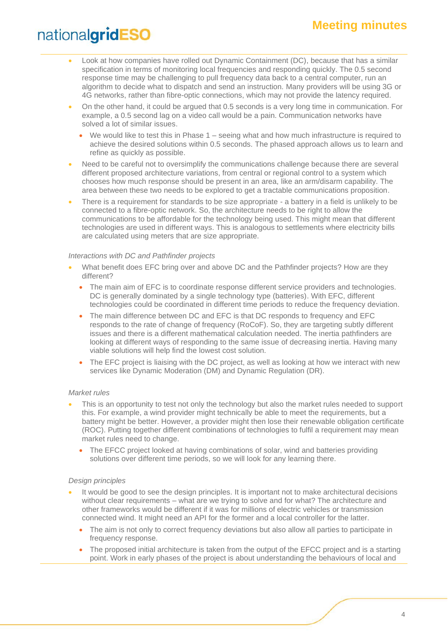- Look at how companies have rolled out Dynamic Containment (DC), because that has a similar specification in terms of monitoring local frequencies and responding quickly. The 0.5 second response time may be challenging to pull frequency data back to a central computer, run an algorithm to decide what to dispatch and send an instruction. Many providers will be using 3G or 4G networks, rather than fibre-optic connections, which may not provide the latency required.
- On the other hand, it could be argued that 0.5 seconds is a very long time in communication. For example, a 0.5 second lag on a video call would be a pain. Communication networks have solved a lot of similar issues.
	- We would like to test this in Phase 1 seeing what and how much infrastructure is required to achieve the desired solutions within 0.5 seconds. The phased approach allows us to learn and refine as quickly as possible.
- Need to be careful not to oversimplify the communications challenge because there are several different proposed architecture variations, from central or regional control to a system which chooses how much response should be present in an area, like an arm/disarm capability. The area between these two needs to be explored to get a tractable communications proposition.
- There is a requirement for standards to be size appropriate a battery in a field is unlikely to be connected to a fibre-optic network. So, the architecture needs to be right to allow the communications to be affordable for the technology being used. This might mean that different technologies are used in different ways. This is analogous to settlements where electricity bills are calculated using meters that are size appropriate.

#### *Interactions with DC and Pathfinder projects*

- What benefit does EFC bring over and above DC and the Pathfinder projects? How are they different?
	- The main aim of EFC is to coordinate response different service providers and technologies. DC is generally dominated by a single technology type (batteries). With EFC, different technologies could be coordinated in different time periods to reduce the frequency deviation.
	- The main difference between DC and EFC is that DC responds to frequency and EFC responds to the rate of change of frequency (RoCoF). So, they are targeting subtly different issues and there is a different mathematical calculation needed. The inertia pathfinders are looking at different ways of responding to the same issue of decreasing inertia. Having many viable solutions will help find the lowest cost solution.
	- The EFC project is liaising with the DC project, as well as looking at how we interact with new services like Dynamic Moderation (DM) and Dynamic Regulation (DR).

#### *Market rules*

- This is an opportunity to test not only the technology but also the market rules needed to support this. For example, a wind provider might technically be able to meet the requirements, but a battery might be better. However, a provider might then lose their renewable obligation certificate (ROC). Putting together different combinations of technologies to fulfil a requirement may mean market rules need to change.
	- The EFCC project looked at having combinations of solar, wind and batteries providing solutions over different time periods, so we will look for any learning there.

#### *Design principles*

- It would be good to see the design principles. It is important not to make architectural decisions without clear requirements – what are we trying to solve and for what? The architecture and other frameworks would be different if it was for millions of electric vehicles or transmission connected wind. It might need an API for the former and a local controller for the latter.
	- The aim is not only to correct frequency deviations but also allow all parties to participate in frequency response.
	- The proposed initial architecture is taken from the output of the EFCC project and is a starting point. Work in early phases of the project is about understanding the behaviours of local and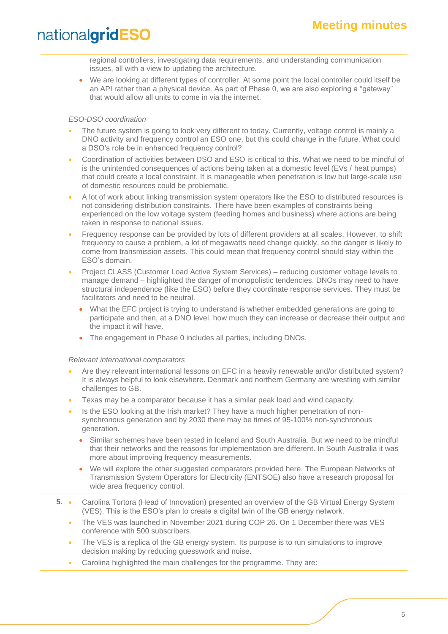regional controllers, investigating data requirements, and understanding communication issues, all with a view to updating the architecture.

• We are looking at different types of controller. At some point the local controller could itself be an API rather than a physical device. As part of Phase 0, we are also exploring a "gateway" that would allow all units to come in via the internet.

#### *ESO-DSO coordination*

- The future system is going to look very different to today. Currently, voltage control is mainly a DNO activity and frequency control an ESO one, but this could change in the future. What could a DSO's role be in enhanced frequency control?
- Coordination of activities between DSO and ESO is critical to this. What we need to be mindful of is the unintended consequences of actions being taken at a domestic level (EVs / heat pumps) that could create a local constraint. It is manageable when penetration is low but large-scale use of domestic resources could be problematic.
- A lot of work about linking transmission system operators like the ESO to distributed resources is not considering distribution constraints. There have been examples of constraints being experienced on the low voltage system (feeding homes and business) where actions are being taken in response to national issues.
- Frequency response can be provided by lots of different providers at all scales. However, to shift frequency to cause a problem, a lot of megawatts need change quickly, so the danger is likely to come from transmission assets. This could mean that frequency control should stay within the ESO's domain.
- Project CLASS (Customer Load Active System Services) reducing customer voltage levels to manage demand – highlighted the danger of monopolistic tendencies. DNOs may need to have structural independence (like the ESO) before they coordinate response services. They must be facilitators and need to be neutral.
	- What the EFC project is trying to understand is whether embedded generations are going to participate and then, at a DNO level, how much they can increase or decrease their output and the impact it will have.
	- The engagement in Phase 0 includes all parties, including DNOs.

#### *Relevant international comparators*

- Are they relevant international lessons on EFC in a heavily renewable and/or distributed system? It is always helpful to look elsewhere. Denmark and northern Germany are wrestling with similar challenges to GB.
- Texas may be a comparator because it has a similar peak load and wind capacity.
- Is the ESO looking at the Irish market? They have a much higher penetration of nonsynchronous generation and by 2030 there may be times of 95-100% non-synchronous generation.
	- Similar schemes have been tested in Iceland and South Australia. But we need to be mindful that their networks and the reasons for implementation are different. In South Australia it was more about improving frequency measurements.
	- We will explore the other suggested comparators provided here. The European Networks of Transmission System Operators for Electricity (ENTSOE) also have a research proposal for wide area frequency control.
- **5.** Carolina Tortora (Head of Innovation) presented an overview of the GB Virtual Energy System (VES). This is the ESO's plan to create a digital twin of the GB energy network.
	- The VES was launched in November 2021 during COP 26. On 1 December there was VES conference with 500 subscribers.
	- The VES is a replica of the GB energy system. Its purpose is to run simulations to improve decision making by reducing guesswork and noise.
	- Carolina highlighted the main challenges for the programme. They are: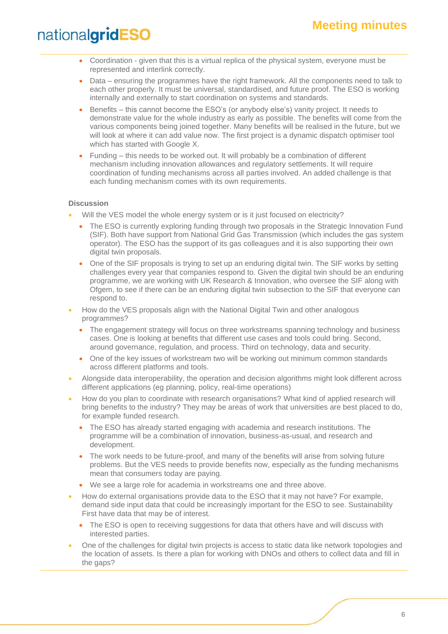- Coordination given that this is a virtual replica of the physical system, everyone must be represented and interlink correctly.
- Data ensuring the programmes have the right framework. All the components need to talk to each other properly. It must be universal, standardised, and future proof. The ESO is working internally and externally to start coordination on systems and standards.
- Benefits this cannot become the ESO's (or anybody else's) vanity project. It needs to demonstrate value for the whole industry as early as possible. The benefits will come from the various components being joined together. Many benefits will be realised in the future, but we will look at where it can add value now. The first project is a dynamic dispatch optimiser tool which has started with Google X.
- Funding this needs to be worked out. It will probably be a combination of different mechanism including innovation allowances and regulatory settlements. It will require coordination of funding mechanisms across all parties involved. An added challenge is that each funding mechanism comes with its own requirements.

#### **Discussion**

- Will the VES model the whole energy system or is it just focused on electricity?
	- The ESO is currently exploring funding through two proposals in the Strategic Innovation Fund (SIF). Both have support from National Grid Gas Transmission (which includes the gas system operator). The ESO has the support of its gas colleagues and it is also supporting their own digital twin proposals.
	- One of the SIF proposals is trying to set up an enduring digital twin. The SIF works by setting challenges every year that companies respond to. Given the digital twin should be an enduring programme, we are working with UK Research & Innovation, who oversee the SIF along with Ofgem, to see if there can be an enduring digital twin subsection to the SIF that everyone can respond to.
- How do the VES proposals align with the National Digital Twin and other analogous programmes?
	- The engagement strategy will focus on three workstreams spanning technology and business cases. One is looking at benefits that different use cases and tools could bring. Second, around governance, regulation, and process. Third on technology, data and security.
	- One of the key issues of workstream two will be working out minimum common standards across different platforms and tools.
- Alongside data interoperability, the operation and decision algorithms might look different across different applications (eg planning, policy, real-time operations)
- How do you plan to coordinate with research organisations? What kind of applied research will bring benefits to the industry? They may be areas of work that universities are best placed to do, for example funded research.
	- The ESO has already started engaging with academia and research institutions. The programme will be a combination of innovation, business-as-usual, and research and development.
	- The work needs to be future-proof, and many of the benefits will arise from solving future problems. But the VES needs to provide benefits now, especially as the funding mechanisms mean that consumers today are paying.
	- We see a large role for academia in workstreams one and three above.
- How do external organisations provide data to the ESO that it may not have? For example, demand side input data that could be increasingly important for the ESO to see. Sustainability First have data that may be of interest.
	- The ESO is open to receiving suggestions for data that others have and will discuss with interested parties.
- One of the challenges for digital twin projects is access to static data like network topologies and the location of assets. Is there a plan for working with DNOs and others to collect data and fill in the gaps?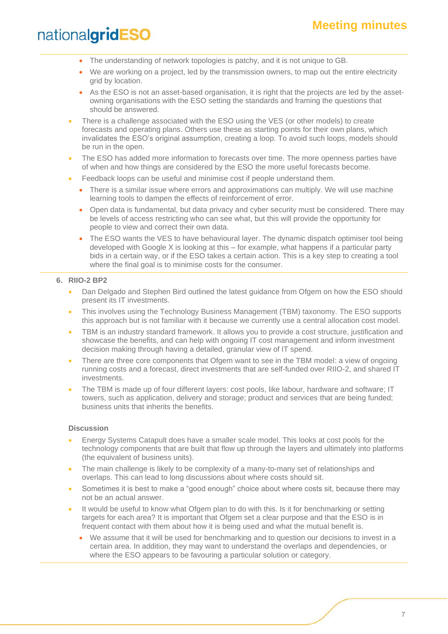- The understanding of network topologies is patchy, and it is not unique to GB.
- We are working on a project, led by the transmission owners, to map out the entire electricity grid by location.
- As the ESO is not an asset-based organisation, it is right that the projects are led by the assetowning organisations with the ESO setting the standards and framing the questions that should be answered.
- There is a challenge associated with the ESO using the VES (or other models) to create forecasts and operating plans. Others use these as starting points for their own plans, which invalidates the ESO's original assumption, creating a loop. To avoid such loops, models should be run in the open.
- The ESO has added more information to forecasts over time. The more openness parties have of when and how things are considered by the ESO the more useful forecasts become.
- Feedback loops can be useful and minimise cost if people understand them.
	- There is a similar issue where errors and approximations can multiply. We will use machine learning tools to dampen the effects of reinforcement of error.
	- Open data is fundamental, but data privacy and cyber security must be considered. There may be levels of access restricting who can see what, but this will provide the opportunity for people to view and correct their own data.
	- The ESO wants the VES to have behavioural layer. The dynamic dispatch optimiser tool being developed with Google X is looking at this – for example, what happens if a particular party bids in a certain way, or if the ESO takes a certain action. This is a key step to creating a tool where the final goal is to minimise costs for the consumer.

#### **6. RIIO-2 BP2**

- Dan Delgado and Stephen Bird outlined the latest guidance from Ofgem on how the ESO should present its IT investments.
- This involves using the Technology Business Management (TBM) taxonomy. The ESO supports this approach but is not familiar with it because we currently use a central allocation cost model.
- TBM is an industry standard framework. It allows you to provide a cost structure, justification and showcase the benefits, and can help with ongoing IT cost management and inform investment decision making through having a detailed, granular view of IT spend.
- There are three core components that Ofgem want to see in the TBM model: a view of ongoing running costs and a forecast, direct investments that are self-funded over RIIO-2, and shared IT investments.
- The TBM is made up of four different layers: cost pools, like labour, hardware and software; IT towers, such as application, delivery and storage; product and services that are being funded; business units that inherits the benefits.

#### **Discussion**

- Energy Systems Catapult does have a smaller scale model. This looks at cost pools for the technology components that are built that flow up through the layers and ultimately into platforms (the equivalent of business units).
- The main challenge is likely to be complexity of a many-to-many set of relationships and overlaps. This can lead to long discussions about where costs should sit.
- Sometimes it is best to make a "good enough" choice about where costs sit, because there may not be an actual answer.
- It would be useful to know what Ofgem plan to do with this. Is it for benchmarking or setting targets for each area? It is important that Ofgem set a clear purpose and that the ESO is in frequent contact with them about how it is being used and what the mutual benefit is.
	- We assume that it will be used for benchmarking and to question our decisions to invest in a certain area. In addition, they may want to understand the overlaps and dependencies, or where the ESO appears to be favouring a particular solution or category.